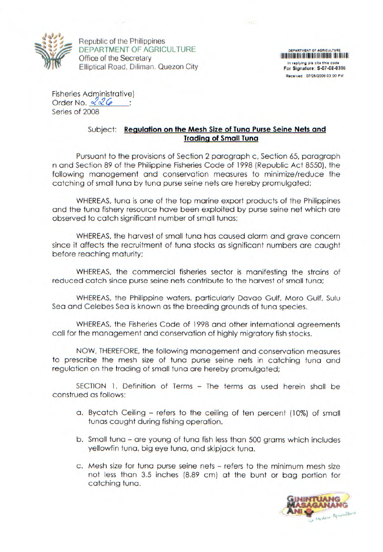

Republic of the Philippines DEPARTMENT OF AGRICULTURE DEPARTMENT OF AGRICULTURE DEPARTMENT OF AGRICULTURE DEPARTMENT OF AGRICULTURE Office of the Secretary In replying pls cite this code Elliptical Road, Diliman. Quezon City For Signature: S-07-08-0366

Received 0712612008 03 00 PM

Fisheries Administrative) Order No.  $226$ Series of 2008

## Subject: **Regulation on the Mesh Size of Tuna Purse Seine Nets and Trading of Small Tuna**

**SALE** 

Pursuant to the provisions of Section 2 paragraph c, Section 65, paragraph n and Section 89 of the Philippine Fisheries Code of 1998 (Republic Act 8550), the following management and conservation measures to minimize/reduce the catching of small tuna by tuna purse seine nets are hereby promulgated:

WHEREAS, tuna is one of the top marine export products of the Philippines and the tuna fishery resource have been exploited by purse seine net which are observed to catch significant number of small tunas;

WHEREAS, the harvest of small tuna has caused alarm and grave concern since it affects the recruitment of tuna stocks as significant numbers are caught before reaching maturity;

WHEREAS, the commercial fisheries sector is manifesting the strains of reduced catch since purse seine nets contribute to the harvest of small tuna;

WHEREAS, the Philippine waters, particularly Davao Gulf, Moro Gulf, Sulu Sea and Celebes Sea is known as the breeding grounds of tuna species.

WHEREAS, the Fisheries Code of 1998 and other international agreements call for the management and conservation of highly migratory fish stocks.

NOW, THEREFORE, the following management and conservation measures to prescribe the mesh size of tuna purse seine nets in catching tuna and regulation on the trading of small tuna are hereby promulgated;

SECTION 1. Definition of Terms - The terms as used herein shall be construed as follows:

- a. Bycatch Ceiling refers to the ceiling of ten percent (10%) of small tunas caught during fishing operation.
- b. Small tuna are young of tuna fish less than 500 grams which includes yellowfin tuna, big eye tuna, and skipjack tuna.
- c. Mesh size for tuna purse seine nets refers to the minimum mesh size not less than 3.5 inches (8.89 cm) at the bunt or bag portion for catching tuna.

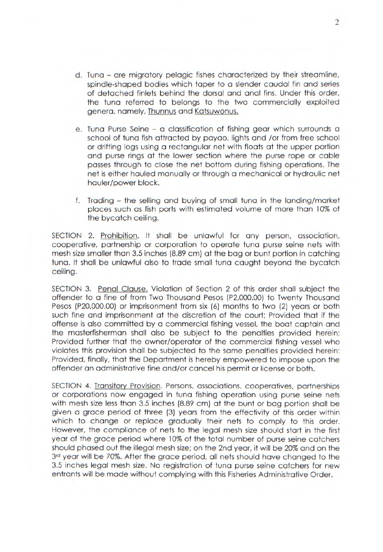- d. Tuna are migratory pelagic fishes characterized by their streamline, spindle-shaped bodies which taper to a slender caudal fin and series of detached finlets behind the dorsal and anal fins. Under this order, the tuna referred to belongs to the two commercially exploited genera, namely, Thunnus and Katsuwonus.
- e. Tuna Purse Seine a classification of fishing gear which surrounds a school of tuna fish attracted by payao, lights and /or from free school or drifting logs using a rectangular net with floats at the upper portion and purse rings at the lower section where the purse rope or cable passes through to close the net bottom during fishing operations. The net is either hauled manually or through a mechanical or hydraulic net hauler/power block.
- f. Trading the selling and buying of small tuna in the landing/market places such as fish ports with estimated volume of more than 10% of the bycatch ceiling.

SECTION 2. Prohibition. It shall be unlawful for any person, association, cooperative, partnership or corporation to operate tuna purse seine nets with mesh size smaller than 3.5 inches (8.89 cm) at the bag or bunt portion in catching tuna. It shall be unlawful also to trade small tuna caught beyond the bycatch ceiling.

SECTION 3. Penal Clause. Violation of Section 2 of this order shall subject the offender to a fine of from Two Thousand Pesos (P2,000.00) to Twenty Thousand Pesos (P20,000.00) or imprisonment from six (6) months to two (2) years or both such fine and imprisonment at the discretion of the court; Provided that if the offense is also committed by a commercial fishing vessel, the boat captain and the masterfisherman shall also be subject to the penalties provided herein; Provided further that the owner/operator of the commercial fishing vessel who violates this provision shall be subjected to the same penalties provided herein: Provided, finally, that the Department is hereby empowered to impose upon the offender an administrative fine and/or cancel his permit or license or both.

SECTION 4. Transitory Provision. Persons, associations, cooperatives, partnerships or corporations now engaged in tuna fishing operation using purse seine nets with mesh size less than 3.5 inches (8.89 cm) at the bunt or bag portion shall be given a grace period of three (3) years from the effectivity of this order within which to change or replace gradually their nets to comply to this order. However, the compliance of nets to the legal mesh size should start in the first year of the grace period where 10% of the total number of purse seine catchers should phased out the illegal mesh size; on the 2nd year, it will be 20% and on the 3rd year will be 70%. After the grace period, all nets should have changed to the 3.5 inches legal mesh size. No registration of tuna purse seine catchers for new entrants will be made without complying with this Fisheries Administrative Order.